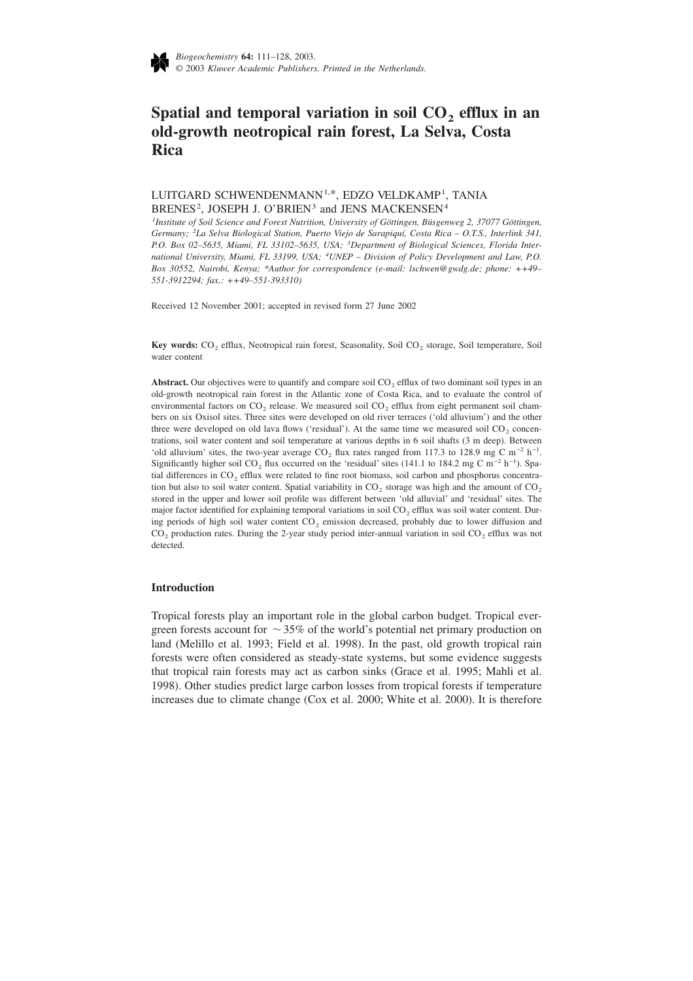

# Spatial and temporal variation in soil CO<sub>2</sub> efflux in an **old-growth neotropical rain forest, La Selva, Costa Rica**

# LUITGARD SCHWENDENMANN<sup>1,\*</sup>, EDZO VELDKAMP<sup>1</sup>, TANIA BRENES<sup>2</sup>, JOSEPH J. O'BRIEN<sup>3</sup> and JENS MACKENSEN<sup>4</sup>

*1 Institute of Soil Science and Forest Nutrition, University of Göttingen, Büsgenweg 2, 37077 Göttingen, Germany; <sup>2</sup> La Selva Biological Station, Puerto Viejo de Sarapiquí, Costa Rica – O.T.S., Interlink 341, P.O. Box 02–5635, Miami, FL 33102–5635, USA; <sup>3</sup> Department of Biological Sciences, Florida International University, Miami, FL 33199, USA; <sup>4</sup> UNEP – Division of Policy Development and Law, P.O. Box 30552, Nairobi, Kenya; \*Author for correspondence (e-mail: lschwen@gwdg.de; phone: ++49– 551-3912294; fax.: ++49–551-393310)*

Received 12 November 2001; accepted in revised form 27 June 2002

**Key words:** CO<sub>2</sub> efflux, Neotropical rain forest, Seasonality, Soil CO<sub>2</sub> storage, Soil temperature, Soil water content

Abstract. Our objectives were to quantify and compare soil CO<sub>2</sub> efflux of two dominant soil types in an old-growth neotropical rain forest in the Atlantic zone of Costa Rica, and to evaluate the control of environmental factors on  $CO<sub>2</sub>$  release. We measured soil  $CO<sub>2</sub>$  efflux from eight permanent soil chambers on six Oxisol sites. Three sites were developed on old river terraces ('old alluvium') and the other three were developed on old lava flows ('residual'). At the same time we measured soil CO<sub>2</sub> concentrations, soil water content and soil temperature at various depths in 6 soil shafts (3 m deep). Between 'old alluvium' sites, the two-year average  $CO_2$  flux rates ranged from 117.3 to 128.9 mg C m<sup>-2</sup> h<sup>-1</sup>. Significantly higher soil CO<sub>2</sub> flux occurred on the 'residual' sites (141.1 to 184.2 mg C m<sup>-2</sup> h<sup>-1</sup>). Spatial differences in  $CO<sub>2</sub>$  efflux were related to fine root biomass, soil carbon and phosphorus concentration but also to soil water content. Spatial variability in  $CO<sub>2</sub>$  storage was high and the amount of  $CO<sub>2</sub>$ stored in the upper and lower soil profile was different between 'old alluvial' and 'residual' sites. The major factor identified for explaining temporal variations in soil CO<sub>2</sub> efflux was soil water content. During periods of high soil water content  $CO<sub>2</sub>$  emission decreased, probably due to lower diffusion and  $CO<sub>2</sub>$  production rates. During the 2-year study period inter-annual variation in soil  $CO<sub>2</sub>$  efflux was not detected.

#### **Introduction**

Tropical forests play an important role in the global carbon budget. Tropical evergreen forests account for  $\sim$  35% of the world's potential net primary production on land (Melillo et al. 1993; Field et al. 1998). In the past, old growth tropical rain forests were often considered as steady-state systems, but some evidence suggests that tropical rain forests may act as carbon sinks (Grace et al. 1995; Mahli et al. 1998). Other studies predict large carbon losses from tropical forests if temperature increases due to climate change (Cox et al. 2000; White et al. 2000). It is therefore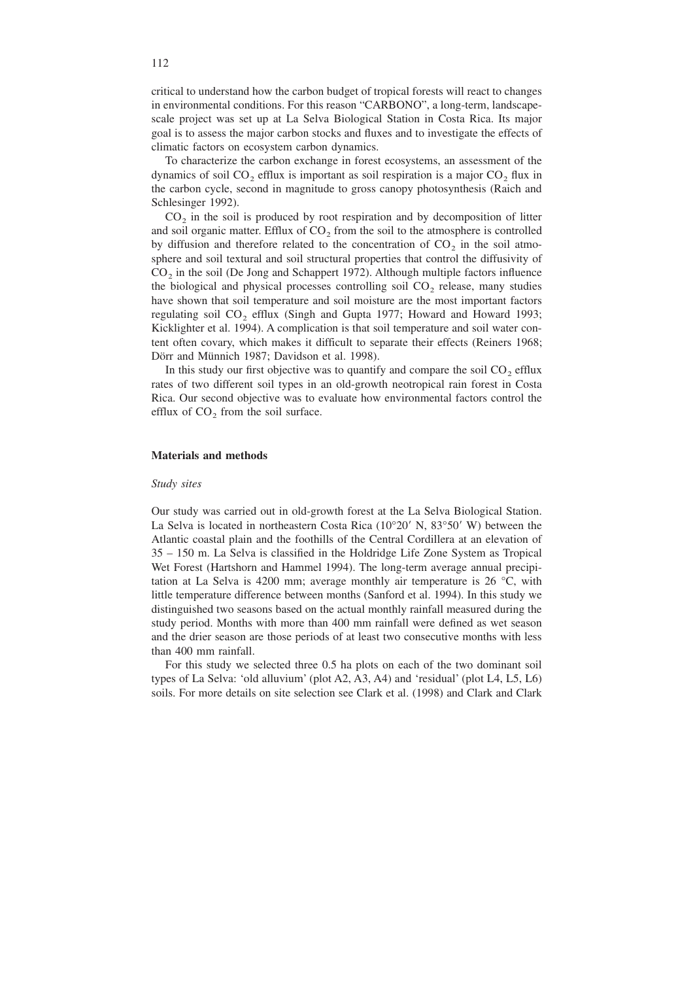critical to understand how the carbon budget of tropical forests will react to changes in environmental conditions. For this reason "CARBONO", a long-term, landscapescale project was set up at La Selva Biological Station in Costa Rica. Its major goal is to assess the major carbon stocks and fluxes and to investigate the effects of climatic factors on ecosystem carbon dynamics.

To characterize the carbon exchange in forest ecosystems, an assessment of the dynamics of soil  $CO<sub>2</sub>$  efflux is important as soil respiration is a major  $CO<sub>2</sub>$  flux in the carbon cycle, second in magnitude to gross canopy photosynthesis (Raich and Schlesinger 1992).

 $CO<sub>2</sub>$  in the soil is produced by root respiration and by decomposition of litter and soil organic matter. Efflux of  $CO<sub>2</sub>$  from the soil to the atmosphere is controlled by diffusion and therefore related to the concentration of  $CO<sub>2</sub>$  in the soil atmosphere and soil textural and soil structural properties that control the diffusivity of  $CO<sub>2</sub>$  in the soil (De Jong and Schappert 1972). Although multiple factors influence the biological and physical processes controlling soil  $CO<sub>2</sub>$  release, many studies have shown that soil temperature and soil moisture are the most important factors regulating soil  $CO<sub>2</sub>$  efflux (Singh and Gupta 1977; Howard and Howard 1993; Kicklighter et al. 1994). A complication is that soil temperature and soil water content often covary, which makes it difficult to separate their effects (Reiners 1968; Dörr and Münnich 1987; Davidson et al. 1998).

In this study our first objective was to quantify and compare the soil  $CO<sub>2</sub>$  efflux rates of two different soil types in an old-growth neotropical rain forest in Costa Rica. Our second objective was to evaluate how environmental factors control the efflux of  $CO<sub>2</sub>$  from the soil surface.

# **Materials and methods**

#### *Study sites*

Our study was carried out in old-growth forest at the La Selva Biological Station. La Selva is located in northeastern Costa Rica  $(10^{\circ}20'$  N,  $83^{\circ}50'$  W) between the Atlantic coastal plain and the foothills of the Central Cordillera at an elevation of 35 – 150 m. La Selva is classified in the Holdridge Life Zone System as Tropical Wet Forest (Hartshorn and Hammel 1994). The long-term average annual precipitation at La Selva is 4200 mm; average monthly air temperature is 26 °C, with little temperature difference between months (Sanford et al. 1994). In this study we distinguished two seasons based on the actual monthly rainfall measured during the study period. Months with more than 400 mm rainfall were defined as wet season and the drier season are those periods of at least two consecutive months with less than 400 mm rainfall.

For this study we selected three 0.5 ha plots on each of the two dominant soil types of La Selva: 'old alluvium' (plot A2, A3, A4) and 'residual' (plot L4, L5, L6) soils. For more details on site selection see Clark et al. (1998) and Clark and Clark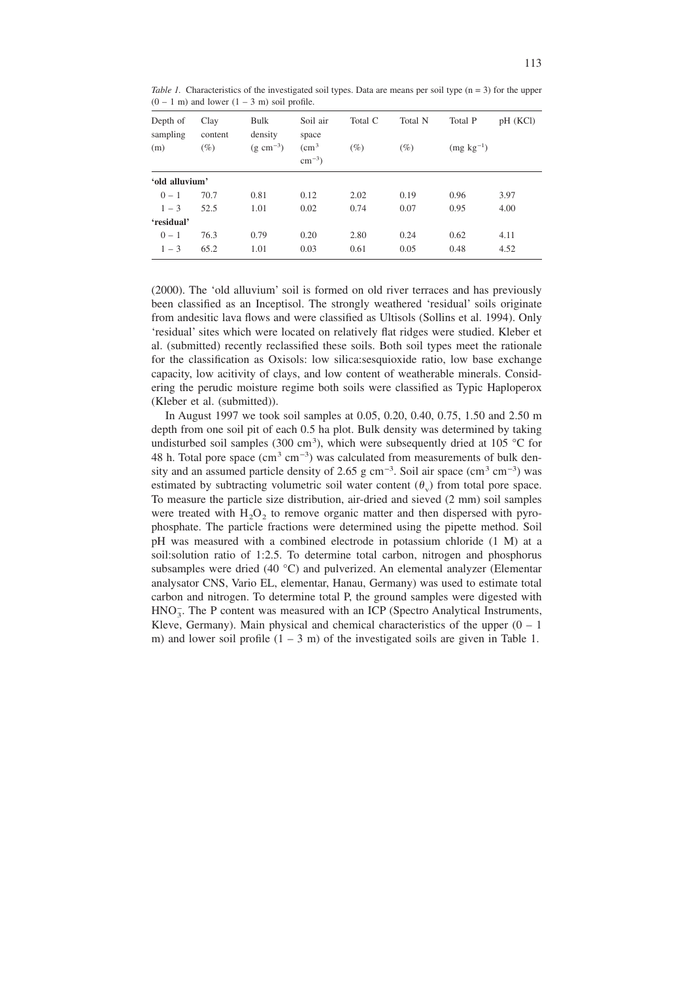*Table 1.* Characteristics of the investigated soil types. Data are means per soil type (n = 3) for the upper  $(0 - 1$  m) and lower  $(1 - 3$  m) soil profile.

| Depth of<br>sampling<br>(m) | Clay<br>content<br>$(\%)$ | Bulk<br>density<br>$(g \text{ cm}^{-3})$ | Soil air<br>space<br>$\rm \ (cm^3$ | Total C<br>$(\%)$ | Total N<br>$(\%)$ | Total P<br>$(mg kg^{-1})$ | pH (KCl) |
|-----------------------------|---------------------------|------------------------------------------|------------------------------------|-------------------|-------------------|---------------------------|----------|
|                             |                           |                                          | $\text{cm}^{-3}$ )                 |                   |                   |                           |          |
| 'old alluvium'              |                           |                                          |                                    |                   |                   |                           |          |
| $0 - 1$                     | 70.7                      | 0.81                                     | 0.12                               | 2.02              | 0.19              | 0.96                      | 3.97     |
| $1 - 3$                     | 52.5                      | 1.01                                     | 0.02                               | 0.74              | 0.07              | 0.95                      | 4.00     |
| 'residual'                  |                           |                                          |                                    |                   |                   |                           |          |
| $0 - 1$                     | 76.3                      | 0.79                                     | 0.20                               | 2.80              | 0.24              | 0.62                      | 4.11     |
| $1 - 3$                     | 65.2                      | 1.01                                     | 0.03                               | 0.61              | 0.05              | 0.48                      | 4.52     |

(2000). The 'old alluvium' soil is formed on old river terraces and has previously been classified as an Inceptisol. The strongly weathered 'residual' soils originate from andesitic lava flows and were classified as Ultisols (Sollins et al. 1994). Only 'residual' sites which were located on relatively flat ridges were studied. Kleber et al. (submitted) recently reclassified these soils. Both soil types meet the rationale for the classification as Oxisols: low silica:sesquioxide ratio, low base exchange capacity, low acitivity of clays, and low content of weatherable minerals. Considering the perudic moisture regime both soils were classified as Typic Haploperox (Kleber et al. (submitted)).

In August 1997 we took soil samples at 0.05, 0.20, 0.40, 0.75, 1.50 and 2.50 m depth from one soil pit of each 0.5 ha plot. Bulk density was determined by taking undisturbed soil samples (300 cm<sup>3</sup>), which were subsequently dried at 105 °C for 48 h. Total pore space  $(cm<sup>3</sup> cm<sup>-3</sup>)$  was calculated from measurements of bulk density and an assumed particle density of 2.65 g cm<sup>-3</sup>. Soil air space (cm<sup>3</sup> cm<sup>-3</sup>) was estimated by subtracting volumetric soil water content  $(\theta_v)$  from total pore space. To measure the particle size distribution, air-dried and sieved (2 mm) soil samples were treated with  $H_2O_2$  to remove organic matter and then dispersed with pyrophosphate. The particle fractions were determined using the pipette method. Soil pH was measured with a combined electrode in potassium chloride (1 M) at a soil:solution ratio of 1:2.5. To determine total carbon, nitrogen and phosphorus subsamples were dried (40 °C) and pulverized. An elemental analyzer (Elementar analysator CNS, Vario EL, elementar, Hanau, Germany) was used to estimate total carbon and nitrogen. To determine total P, the ground samples were digested with HNO<sub>3</sub>. The P content was measured with an ICP (Spectro Analytical Instruments, Kleve, Germany). Main physical and chemical characteristics of the upper  $(0 - 1)$ m) and lower soil profile  $(1 - 3$  m) of the investigated soils are given in Table 1.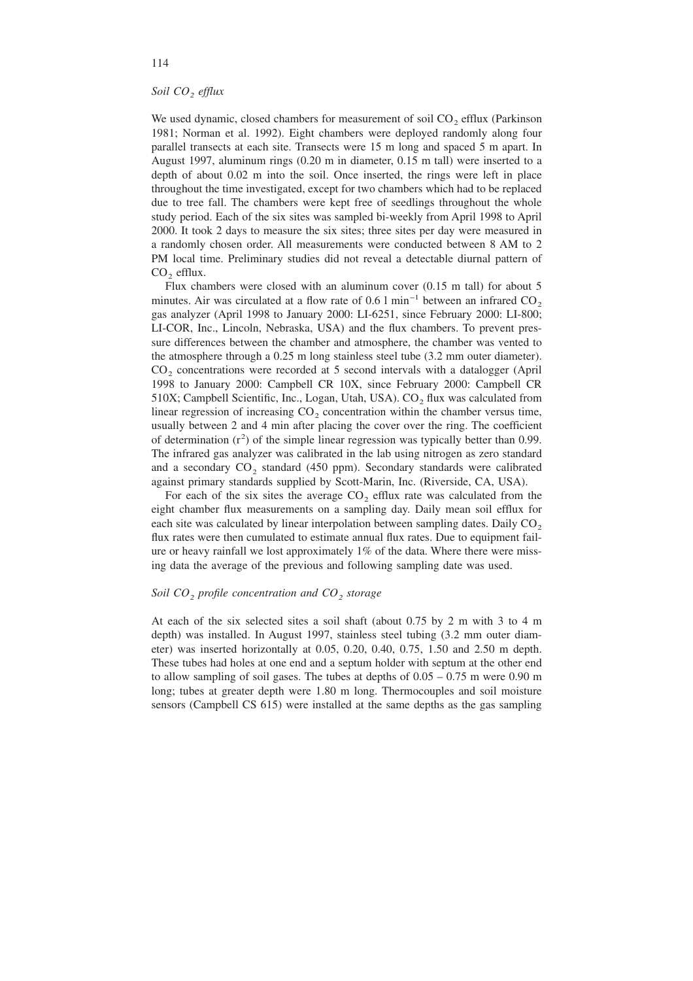# *Soil CO2 efflux*

We used dynamic, closed chambers for measurement of soil  $CO<sub>2</sub>$  efflux (Parkinson 1981; Norman et al. 1992). Eight chambers were deployed randomly along four parallel transects at each site. Transects were 15 m long and spaced 5 m apart. In August 1997, aluminum rings (0.20 m in diameter, 0.15 m tall) were inserted to a depth of about 0.02 m into the soil. Once inserted, the rings were left in place throughout the time investigated, except for two chambers which had to be replaced due to tree fall. The chambers were kept free of seedlings throughout the whole study period. Each of the six sites was sampled bi-weekly from April 1998 to April 2000. It took 2 days to measure the six sites; three sites per day were measured in a randomly chosen order. All measurements were conducted between 8 AM to 2 PM local time. Preliminary studies did not reveal a detectable diurnal pattern of  $CO<sub>2</sub>$  efflux.

Flux chambers were closed with an aluminum cover (0.15 m tall) for about 5 minutes. Air was circulated at a flow rate of 0.6 l min<sup>-1</sup> between an infrared  $CO<sub>2</sub>$ gas analyzer (April 1998 to January 2000: LI-6251, since February 2000: LI-800; LI-COR, Inc., Lincoln, Nebraska, USA) and the flux chambers. To prevent pressure differences between the chamber and atmosphere, the chamber was vented to the atmosphere through a 0.25 m long stainless steel tube (3.2 mm outer diameter).  $CO<sub>2</sub>$  concentrations were recorded at 5 second intervals with a datalogger (April 1998 to January 2000: Campbell CR 10X, since February 2000: Campbell CR  $510X$ ; Campbell Scientific, Inc., Logan, Utah, USA). CO<sub>2</sub> flux was calculated from linear regression of increasing  $CO<sub>2</sub>$  concentration within the chamber versus time, usually between 2 and 4 min after placing the cover over the ring. The coefficient of determination  $(r^2)$  of the simple linear regression was typically better than 0.99. The infrared gas analyzer was calibrated in the lab using nitrogen as zero standard and a secondary  $CO<sub>2</sub>$  standard (450 ppm). Secondary standards were calibrated against primary standards supplied by Scott-Marin, Inc. (Riverside, CA, USA).

For each of the six sites the average  $CO<sub>2</sub>$  efflux rate was calculated from the eight chamber flux measurements on a sampling day. Daily mean soil efflux for each site was calculated by linear interpolation between sampling dates. Daily  $CO<sub>2</sub>$ flux rates were then cumulated to estimate annual flux rates. Due to equipment failure or heavy rainfall we lost approximately  $1\%$  of the data. Where there were missing data the average of the previous and following sampling date was used.

# *Soil* CO<sub>2</sub> *profile concentration and CO<sub>2</sub> storage*

At each of the six selected sites a soil shaft (about 0.75 by 2 m with 3 to 4 m depth) was installed. In August 1997, stainless steel tubing (3.2 mm outer diameter) was inserted horizontally at 0.05, 0.20, 0.40, 0.75, 1.50 and 2.50 m depth. These tubes had holes at one end and a septum holder with septum at the other end to allow sampling of soil gases. The tubes at depths of  $0.05 - 0.75$  m were 0.90 m long; tubes at greater depth were 1.80 m long. Thermocouples and soil moisture sensors (Campbell CS 615) were installed at the same depths as the gas sampling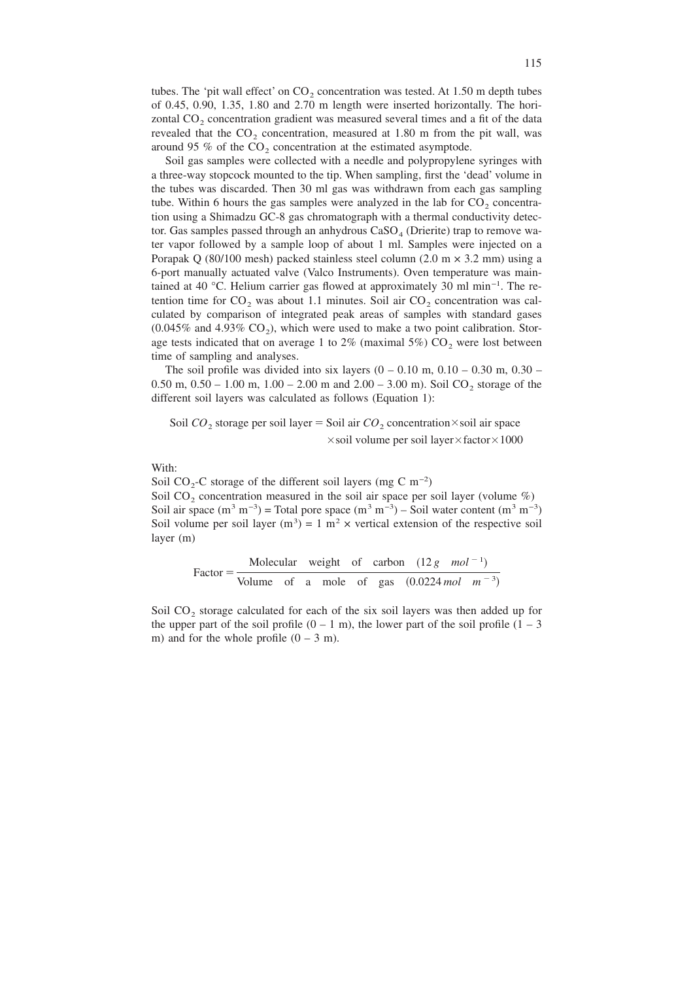tubes. The 'pit wall effect' on  $CO<sub>2</sub>$  concentration was tested. At 1.50 m depth tubes of 0.45, 0.90, 1.35, 1.80 and 2.70 m length were inserted horizontally. The horizontal  $CO<sub>2</sub>$  concentration gradient was measured several times and a fit of the data revealed that the  $CO<sub>2</sub>$  concentration, measured at 1.80 m from the pit wall, was around 95  $%$  of the CO<sub>2</sub> concentration at the estimated asymptode.

Soil gas samples were collected with a needle and polypropylene syringes with a three-way stopcock mounted to the tip. When sampling, first the 'dead' volume in the tubes was discarded. Then 30 ml gas was withdrawn from each gas sampling tube. Within 6 hours the gas samples were analyzed in the lab for  $CO<sub>2</sub>$  concentration using a Shimadzu GC-8 gas chromatograph with a thermal conductivity detector. Gas samples passed through an anhydrous  $CaSO<sub>4</sub>$  (Drierite) trap to remove water vapor followed by a sample loop of about 1 ml. Samples were injected on a Porapak Q (80/100 mesh) packed stainless steel column (2.0 m  $\times$  3.2 mm) using a 6-port manually actuated valve (Valco Instruments). Oven temperature was maintained at 40 °C. Helium carrier gas flowed at approximately 30 ml min−1 . The retention time for  $CO<sub>2</sub>$  was about 1.1 minutes. Soil air  $CO<sub>2</sub>$  concentration was calculated by comparison of integrated peak areas of samples with standard gases  $(0.045\%$  and  $4.93\%$  CO<sub>2</sub>), which were used to make a two point calibration. Storage tests indicated that on average 1 to  $2\%$  (maximal  $5\%$ ) CO<sub>2</sub> were lost between time of sampling and analyses.

The soil profile was divided into six layers  $(0 - 0.10 \text{ m}, 0.10 - 0.30 \text{ m}, 0.30 -$ 0.50 m,  $0.50 - 1.00$  m,  $1.00 - 2.00$  m and  $2.00 - 3.00$  m). Soil CO<sub>2</sub> storage of the different soil layers was calculated as follows (Equation 1):

Soil  $CO_2$  storage per soil layer = Soil air  $CO_2$  concentration×soil air space  $\times$ soil volume per soil layer $\times$ factor $\times$ 1000

With:

Soil CO<sub>2</sub>-C storage of the different soil layers (mg C m<sup>-2</sup>) Soil CO<sub>2</sub> concentration measured in the soil air space per soil layer (volume  $\%$ ) Soil air space  $(m^3 m^{-3})$  = Total pore space  $(m^3 m^{-3})$  – Soil water content  $(m^3 m^{-3})$ Soil volume per soil layer (m<sup>3</sup>) = 1 m<sup>2</sup> × vertical extension of the respective soil layer (m)

Factor = 
$$
\frac{\text{Molecular weight of carbon} (12 g mol^{-1})}{\text{Volume of a mole of gas} (0.0224 mol m^{-3})}
$$

Soil CO<sub>2</sub> storage calculated for each of the six soil layers was then added up for the upper part of the soil profile  $(0 - 1)$  m), the lower part of the soil profile  $(1 - 3)$ m) and for the whole profile  $(0 - 3)$ m).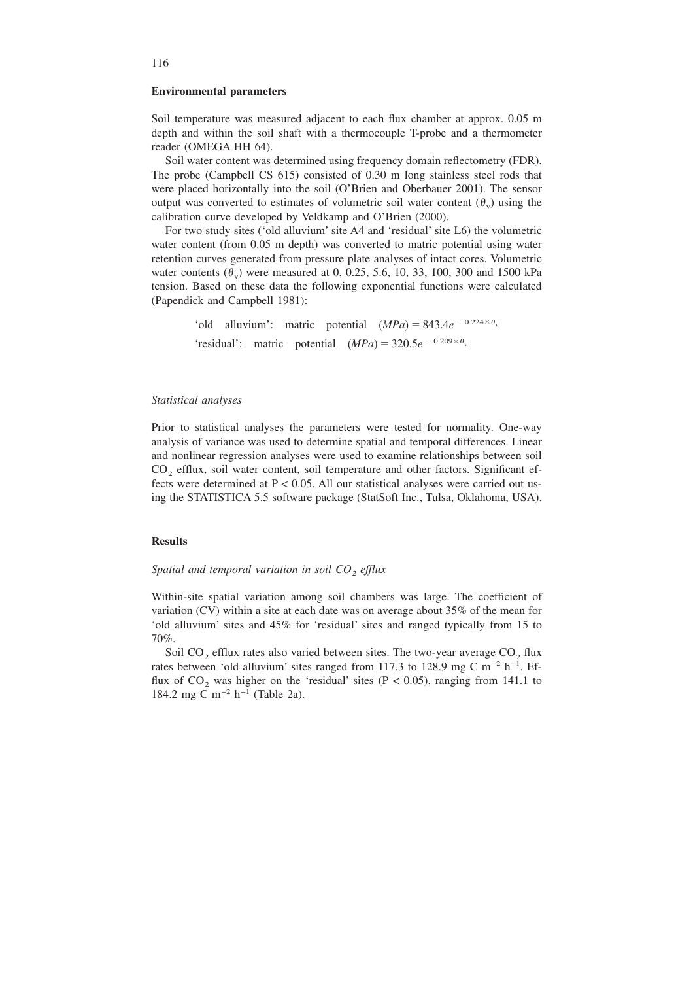# **Environmental parameters**

Soil temperature was measured adjacent to each flux chamber at approx. 0.05 m depth and within the soil shaft with a thermocouple T-probe and a thermometer reader (OMEGA HH 64).

Soil water content was determined using frequency domain reflectometry (FDR). The probe (Campbell CS 615) consisted of 0.30 m long stainless steel rods that were placed horizontally into the soil (O'Brien and Oberbauer 2001). The sensor output was converted to estimates of volumetric soil water content  $(\theta)$  using the calibration curve developed by Veldkamp and O'Brien (2000).

For two study sites ('old alluvium' site A4 and 'residual' site L6) the volumetric water content (from 0.05 m depth) was converted to matric potential using water retention curves generated from pressure plate analyses of intact cores. Volumetric water contents  $(\theta_{y})$  were measured at 0, 0.25, 5.6, 10, 33, 100, 300 and 1500 kPa tension. Based on these data the following exponential functions were calculated (Papendick and Campbell 1981):

> 'old alluvium': matric potential  $(MPa) = 843.4e^{-0.224 \times \theta_v}$ 'residual': matric potential  $(MPa) = 320.5e^{-0.209 \times \theta_v}$

#### *Statistical analyses*

Prior to statistical analyses the parameters were tested for normality. One-way analysis of variance was used to determine spatial and temporal differences. Linear and nonlinear regression analyses were used to examine relationships between soil  $CO<sub>2</sub>$  efflux, soil water content, soil temperature and other factors. Significant effects were determined at  $P < 0.05$ . All our statistical analyses were carried out using the STATISTICA 5.5 software package (StatSoft Inc., Tulsa, Oklahoma, USA).

# **Results**

# *Spatial and temporal variation in soil CO<sub>2</sub> efflux*

Within-site spatial variation among soil chambers was large. The coefficient of variation (CV) within a site at each date was on average about 35% of the mean for 'old alluvium' sites and 45% for 'residual' sites and ranged typically from 15 to 70%.

Soil  $CO_2$  efflux rates also varied between sites. The two-year average  $CO_2$  flux rates between 'old alluvium' sites ranged from 117.3 to 128.9 mg C m<sup>-2</sup> h<sup>-1</sup>. Efflux of  $CO_2$  was higher on the 'residual' sites (P < 0.05), ranging from 141.1 to 184.2 mg C m−2 h−1 (Table 2a).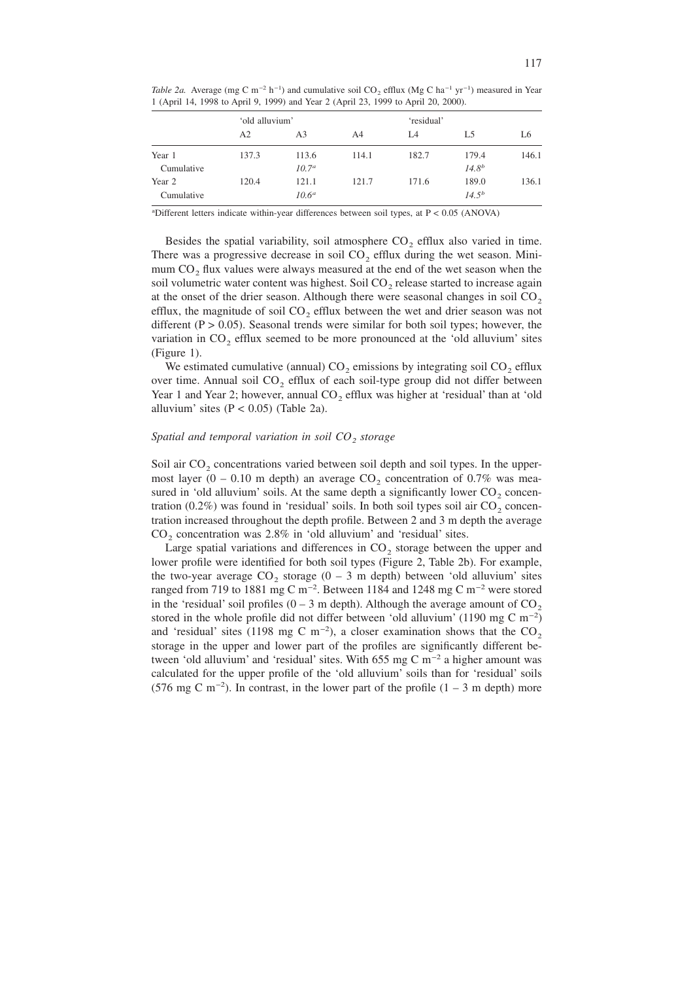*Table 2a.* Average (mg C m<sup>-2</sup> h<sup>-1</sup>) and cumulative soil CO<sub>2</sub> efflux (Mg C ha<sup>-1</sup> yr<sup>-1</sup>) measured in Year 1 (April 14, 1998 to April 9, 1999) and Year 2 (April 23, 1999 to April 20, 2000).

|            | 'old alluvium' |          |       | 'residual' |            |       |
|------------|----------------|----------|-------|------------|------------|-------|
|            | A2             | A3       | A4    | I A        | L5         | L6    |
| Year 1     | 137.3          | 113.6    | 114.1 | 182.7      | 179.4      | 146.1 |
| Cumulative |                | $10.7^a$ |       |            | $14.8^{b}$ |       |
| Year 2     | 120.4          | 121.1    | 121.7 | 171.6      | 189.0      | 136.1 |
| Cumulative |                | $10.6^a$ |       |            | $14.5^{b}$ |       |

a Different letters indicate within-year differences between soil types, at P < 0.05 (ANOVA)

Besides the spatial variability, soil atmosphere  $CO<sub>2</sub>$  efflux also varied in time. There was a progressive decrease in soil  $CO<sub>2</sub>$  efflux during the wet season. Minimum CO<sub>2</sub> flux values were always measured at the end of the wet season when the soil volumetric water content was highest. Soil  $CO<sub>2</sub>$  release started to increase again at the onset of the drier season. Although there were seasonal changes in soil  $CO<sub>2</sub>$ efflux, the magnitude of soil  $CO<sub>2</sub>$  efflux between the wet and drier season was not different ( $P > 0.05$ ). Seasonal trends were similar for both soil types; however, the variation in  $CO<sub>2</sub>$  efflux seemed to be more pronounced at the 'old alluvium' sites (Figure 1).

We estimated cumulative (annual)  $CO<sub>2</sub>$  emissions by integrating soil  $CO<sub>2</sub>$  efflux over time. Annual soil  $CO<sub>2</sub>$  efflux of each soil-type group did not differ between Year 1 and Year 2; however, annual  $CO<sub>2</sub>$  efflux was higher at 'residual' than at 'old alluvium' sites  $(P < 0.05)$  (Table 2a).

#### *Spatial and temporal variation in soil CO<sub>2</sub> storage*

Soil air  $CO<sub>2</sub>$  concentrations varied between soil depth and soil types. In the uppermost layer (0 – 0.10 m depth) an average  $CO<sub>2</sub>$  concentration of 0.7% was measured in 'old alluvium' soils. At the same depth a significantly lower  $CO<sub>2</sub>$  concentration  $(0.2\%)$  was found in 'residual' soils. In both soil types soil air  $CO<sub>2</sub>$  concentration increased throughout the depth profile. Between 2 and 3 m depth the average  $CO<sub>2</sub>$  concentration was 2.8% in 'old alluvium' and 'residual' sites.

Large spatial variations and differences in  $CO<sub>2</sub>$  storage between the upper and lower profile were identified for both soil types (Figure 2, Table 2b). For example, the two-year average  $CO_2$  storage  $(0 - 3$  m depth) between 'old alluvium' sites ranged from 719 to 1881 mg C m<sup>-2</sup>. Between 1184 and 1248 mg C m<sup>-2</sup> were stored in the 'residual' soil profiles  $(0 - 3 \text{ m depth})$ . Although the average amount of  $CO<sub>2</sub>$ stored in the whole profile did not differ between 'old alluvium' (1190 mg C m<sup>-2</sup>) and 'residual' sites (1198 mg C m<sup>-2</sup>), a closer examination shows that the  $CO_2$ storage in the upper and lower part of the profiles are significantly different between 'old alluvium' and 'residual' sites. With 655 mg C m−2 a higher amount was calculated for the upper profile of the 'old alluvium' soils than for 'residual' soils (576 mg C m<sup>-2</sup>). In contrast, in the lower part of the profile  $(1 – 3$  m depth) more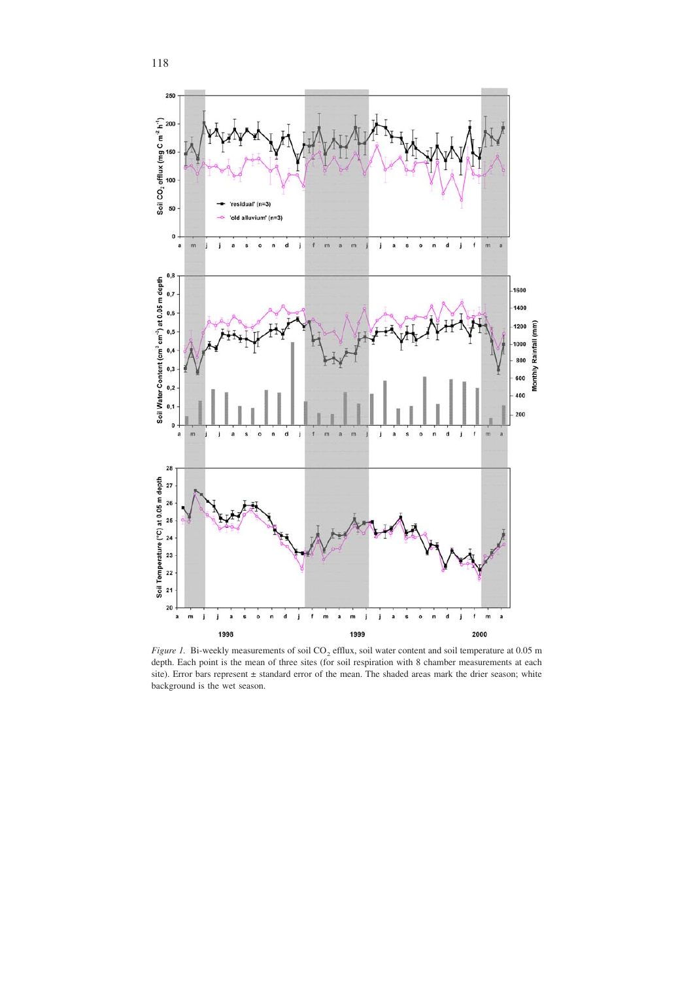

*Figure 1.* Bi-weekly measurements of soil CO<sub>2</sub> efflux, soil water content and soil temperature at 0.05 m depth. Each point is the mean of three sites (for soil respiration with 8 chamber measurements at each site). Error bars represent ± standard error of the mean. The shaded areas mark the drier season; white background is the wet season.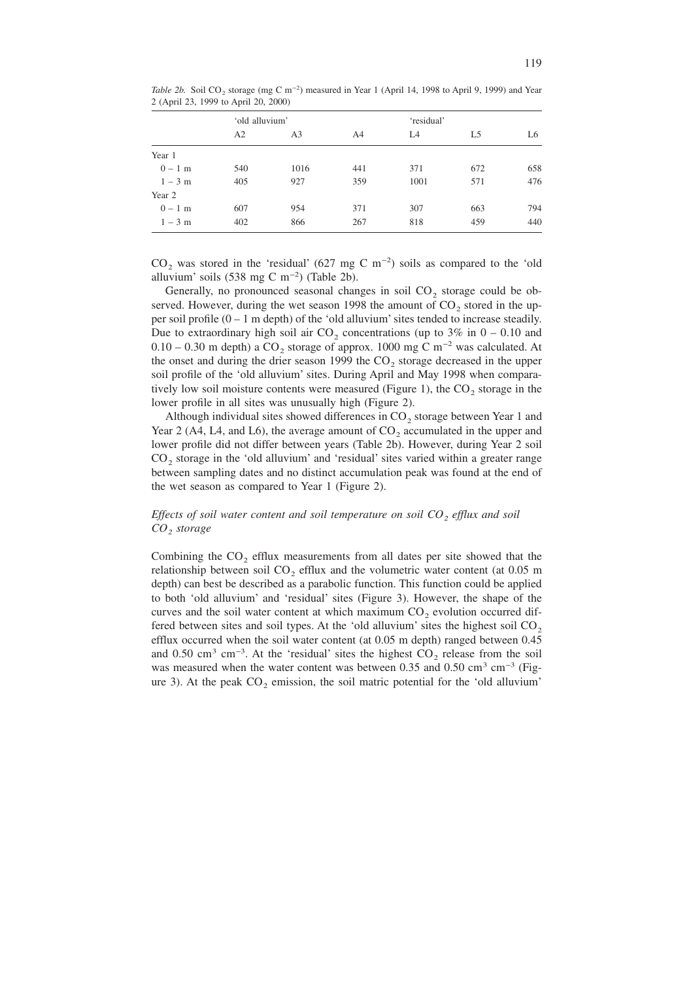|           | 'old alluvium' |      |                | 'residual' |     |     |
|-----------|----------------|------|----------------|------------|-----|-----|
|           | A2             | A3   | A <sup>4</sup> | L4         | L5  | L6  |
| Year 1    |                |      |                |            |     |     |
| $0 - 1$ m | 540            | 1016 | 441            | 371        | 672 | 658 |
| $1 - 3$ m | 405            | 927  | 359            | 1001       | 571 | 476 |
| Year 2    |                |      |                |            |     |     |
| $0 - 1$ m | 607            | 954  | 371            | 307        | 663 | 794 |
| $1 - 3$ m | 402            | 866  | 267            | 818        | 459 | 440 |
|           |                |      |                |            |     |     |

Table 2b. Soil CO<sub>2</sub> storage (mg C m<sup>-2</sup>) measured in Year 1 (April 14, 1998 to April 9, 1999) and Year 2 (April 23, 1999 to April 20, 2000)

 $CO<sub>2</sub>$  was stored in the 'residual' (627 mg C m<sup>-2</sup>) soils as compared to the 'old alluvium' soils (538 mg C m<sup>-2</sup>) (Table 2b).

Generally, no pronounced seasonal changes in soil  $CO<sub>2</sub>$  storage could be observed. However, during the wet season 1998 the amount of  $CO<sub>2</sub>$  stored in the upper soil profile  $(0 - 1$  m depth) of the 'old alluvium' sites tended to increase steadily. Due to extraordinary high soil air  $CO_2$  concentrations (up to 3% in 0 – 0.10 and 0.10 – 0.30 m depth) a CO<sub>2</sub> storage of approx. 1000 mg C m<sup>-2</sup> was calculated. At the onset and during the drier season 1999 the  $CO<sub>2</sub>$  storage decreased in the upper soil profile of the 'old alluvium' sites. During April and May 1998 when comparatively low soil moisture contents were measured (Figure 1), the  $CO<sub>2</sub>$  storage in the lower profile in all sites was unusually high (Figure 2).

Although individual sites showed differences in  $CO<sub>2</sub>$  storage between Year 1 and Year 2 (A4, L4, and L6), the average amount of  $CO<sub>2</sub>$  accumulated in the upper and lower profile did not differ between years (Table 2b). However, during Year 2 soil  $CO<sub>2</sub>$  storage in the 'old alluvium' and 'residual' sites varied within a greater range between sampling dates and no distinct accumulation peak was found at the end of the wet season as compared to Year 1 (Figure 2).

# *Effects of soil water content and soil temperature on soil CO<sub>2</sub> efflux and soil CO2 storage*

Combining the  $CO<sub>2</sub>$  efflux measurements from all dates per site showed that the relationship between soil  $CO<sub>2</sub>$  efflux and the volumetric water content (at 0.05 m) depth) can best be described as a parabolic function. This function could be applied to both 'old alluvium' and 'residual' sites (Figure 3). However, the shape of the curves and the soil water content at which maximum  $CO<sub>2</sub>$  evolution occurred differed between sites and soil types. At the 'old alluvium' sites the highest soil  $CO<sub>2</sub>$ efflux occurred when the soil water content (at 0.05 m depth) ranged between 0.45 and 0.50 cm<sup>3</sup> cm<sup>-3</sup>. At the 'residual' sites the highest  $CO_2$  release from the soil was measured when the water content was between 0.35 and 0.50 cm<sup>3</sup> cm<sup>-3</sup> (Figure 3). At the peak  $CO<sub>2</sub>$  emission, the soil matric potential for the 'old alluvium'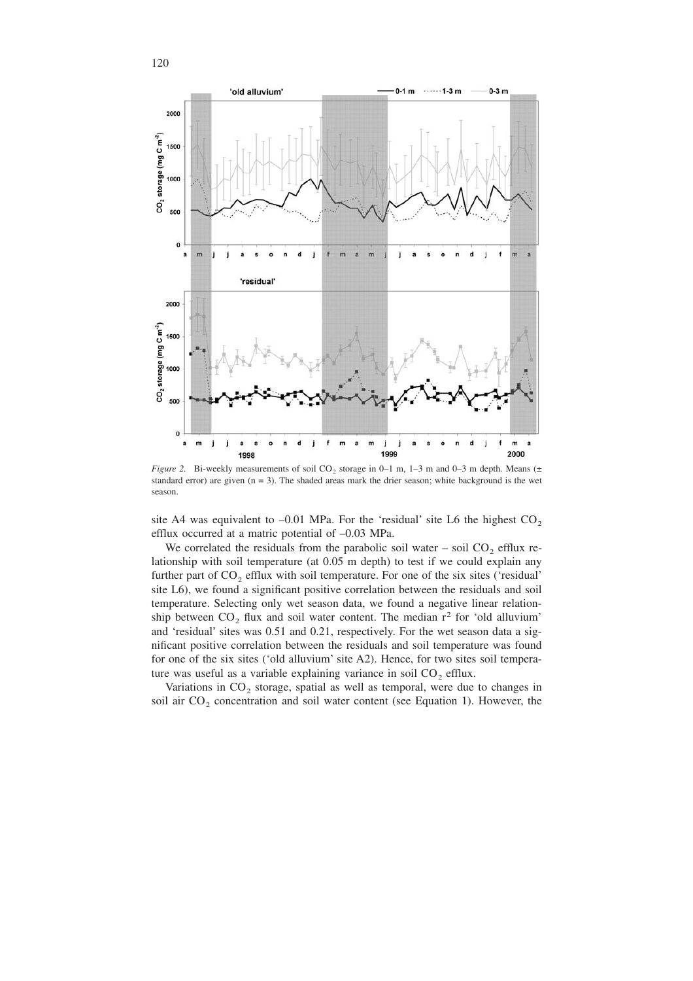

*Figure 2.* Bi-weekly measurements of soil  $CO_2$  storage in 0–1 m, 1–3 m and 0–3 m depth. Means ( $\pm$ standard error) are given  $(n = 3)$ . The shaded areas mark the drier season; white background is the wet season.

site A4 was equivalent to  $-0.01$  MPa. For the 'residual' site L6 the highest CO<sub>2</sub> efflux occurred at a matric potential of –0.03 MPa.

We correlated the residuals from the parabolic soil water – soil  $CO<sub>2</sub>$  efflux relationship with soil temperature (at 0.05 m depth) to test if we could explain any further part of  $CO<sub>2</sub>$  efflux with soil temperature. For one of the six sites ('residual' site L6), we found a significant positive correlation between the residuals and soil temperature. Selecting only wet season data, we found a negative linear relationship between  $CO<sub>2</sub>$  flux and soil water content. The median  $r<sup>2</sup>$  for 'old alluvium' and 'residual' sites was 0.51 and 0.21, respectively. For the wet season data a significant positive correlation between the residuals and soil temperature was found for one of the six sites ('old alluvium' site A2). Hence, for two sites soil temperature was useful as a variable explaining variance in soil  $CO<sub>2</sub>$  efflux.

Variations in  $CO<sub>2</sub>$  storage, spatial as well as temporal, were due to changes in soil air  $CO<sub>2</sub>$  concentration and soil water content (see Equation 1). However, the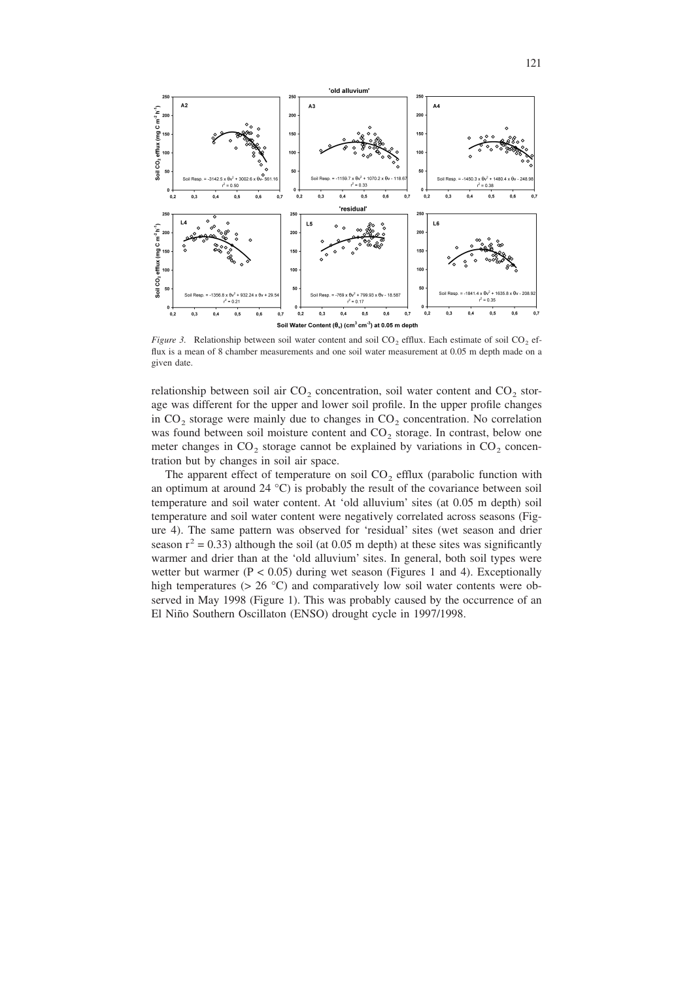

*Figure 3.* Relationship between soil water content and soil  $CO<sub>2</sub>$  efflux. Each estimate of soil  $CO<sub>2</sub>$  efflux is a mean of 8 chamber measurements and one soil water measurement at 0.05 m depth made on a given date.

relationship between soil air  $CO_2$  concentration, soil water content and  $CO_2$  storage was different for the upper and lower soil profile. In the upper profile changes in  $CO<sub>2</sub>$  storage were mainly due to changes in  $CO<sub>2</sub>$  concentration. No correlation was found between soil moisture content and  $CO<sub>2</sub>$  storage. In contrast, below one meter changes in  $CO_2$  storage cannot be explained by variations in  $CO_2$  concentration but by changes in soil air space.

The apparent effect of temperature on soil  $CO<sub>2</sub>$  efflux (parabolic function with an optimum at around  $24 \text{ }^{\circ}\text{C}$ ) is probably the result of the covariance between soil temperature and soil water content. At 'old alluvium' sites (at 0.05 m depth) soil temperature and soil water content were negatively correlated across seasons (Figure 4). The same pattern was observed for 'residual' sites (wet season and drier season  $r^2 = 0.33$ ) although the soil (at 0.05 m depth) at these sites was significantly warmer and drier than at the 'old alluvium' sites. In general, both soil types were wetter but warmer ( $P < 0.05$ ) during wet season (Figures 1 and 4). Exceptionally high temperatures ( $> 26$  °C) and comparatively low soil water contents were observed in May 1998 (Figure 1). This was probably caused by the occurrence of an El Niño Southern Oscillaton (ENSO) drought cycle in 1997/1998.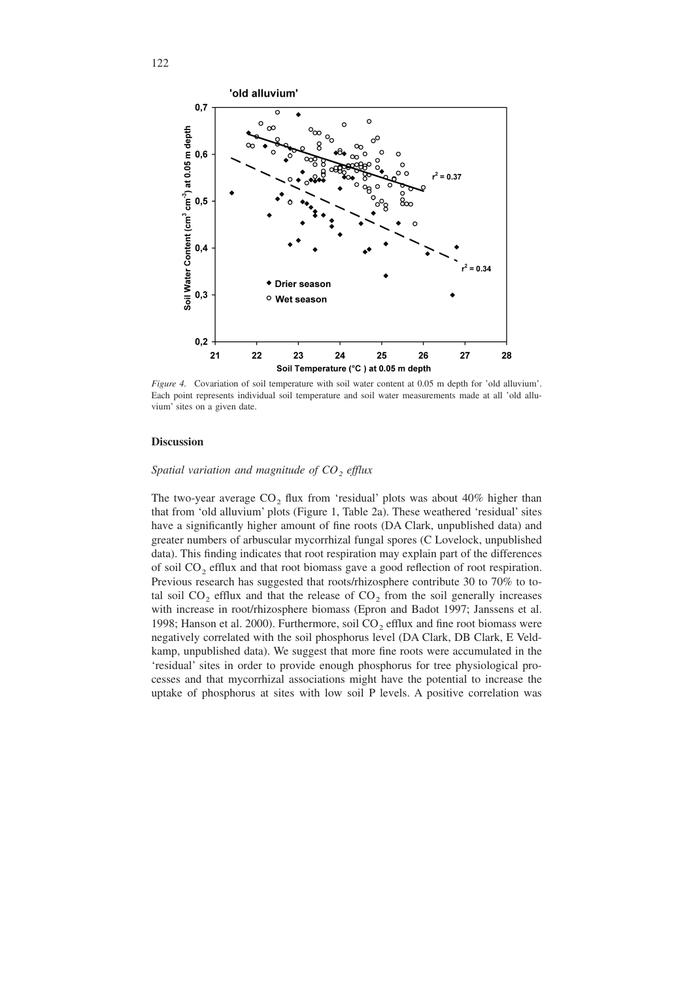

*Figure 4.* Covariation of soil temperature with soil water content at 0.05 m depth for 'old alluvium'. Each point represents individual soil temperature and soil water measurements made at all 'old alluvium' sites on a given date.

#### **Discussion**

# *Spatial variation and magnitude of CO<sub>2</sub> efflux*

The two-year average  $CO<sub>2</sub>$  flux from 'residual' plots was about 40% higher than that from 'old alluvium' plots (Figure 1, Table 2a). These weathered 'residual' sites have a significantly higher amount of fine roots (DA Clark, unpublished data) and greater numbers of arbuscular mycorrhizal fungal spores (C Lovelock, unpublished data). This finding indicates that root respiration may explain part of the differences of soil CO2 efflux and that root biomass gave a good reflection of root respiration. Previous research has suggested that roots/rhizosphere contribute 30 to 70% to total soil  $CO<sub>2</sub>$  efflux and that the release of  $CO<sub>2</sub>$  from the soil generally increases with increase in root/rhizosphere biomass (Epron and Badot 1997; Janssens et al. 1998; Hanson et al. 2000). Furthermore, soil  $CO<sub>2</sub>$  efflux and fine root biomass were negatively correlated with the soil phosphorus level (DA Clark, DB Clark, E Veldkamp, unpublished data). We suggest that more fine roots were accumulated in the 'residual' sites in order to provide enough phosphorus for tree physiological processes and that mycorrhizal associations might have the potential to increase the uptake of phosphorus at sites with low soil P levels. A positive correlation was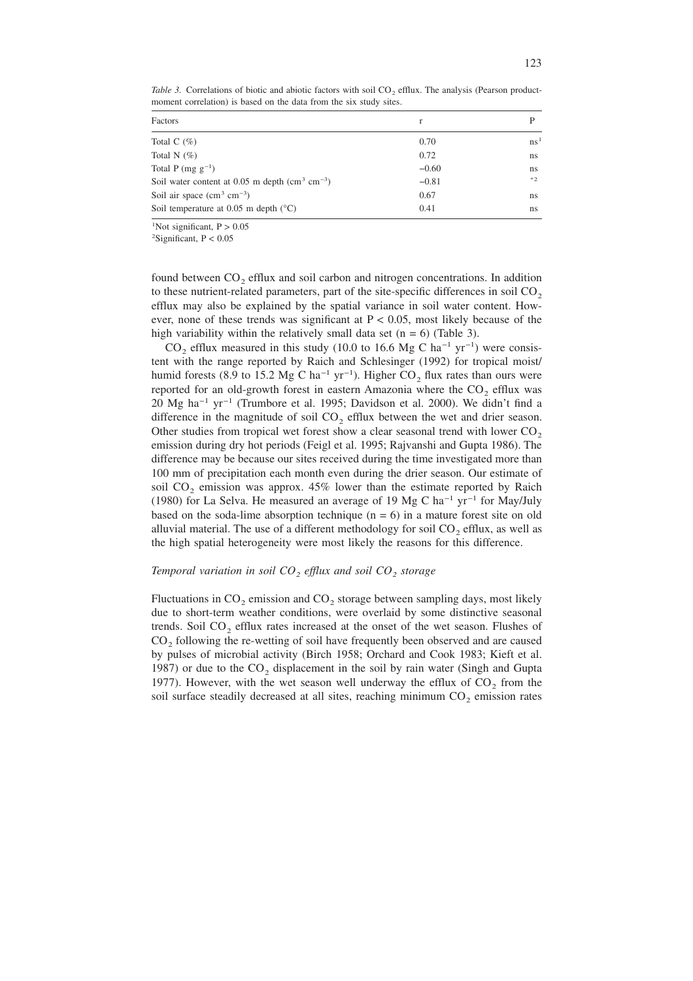| Factors                                                   | r       |               |
|-----------------------------------------------------------|---------|---------------|
| Total C $(\% )$                                           | 0.70    | $\text{ns}^1$ |
| Total N $(\%)$                                            | 0.72    | ns            |
| Total P (mg $g^{-1}$ )                                    | $-0.60$ | ns            |
| Soil water content at 0.05 m depth $\rm (cm^3 \ cm^{-3})$ | $-0.81$ | $*2$          |
| Soil air space $\rm (cm^3 \ cm^{-3})$                     | 0.67    | ns.           |
| Soil temperature at 0.05 m depth $(^{\circ}C)$            | 0.41    | ns.           |

*Table 3.* Correlations of biotic and abiotic factors with soil  $CO<sub>2</sub>$  efflux. The analysis (Pearson productmoment correlation) is based on the data from the six study sites.

<sup>1</sup>Not significant,  $P > 0.05$ 

<sup>2</sup>Significant,  $P < 0.05$ 

found between  $CO<sub>2</sub>$  efflux and soil carbon and nitrogen concentrations. In addition to these nutrient-related parameters, part of the site-specific differences in soil  $CO<sub>2</sub>$ efflux may also be explained by the spatial variance in soil water content. However, none of these trends was significant at  $P < 0.05$ , most likely because of the high variability within the relatively small data set  $(n = 6)$  (Table 3).

 $CO_2$  efflux measured in this study (10.0 to 16.6 Mg C ha<sup>-1</sup> yr<sup>-1</sup>) were consistent with the range reported by Raich and Schlesinger (1992) for tropical moist/ humid forests (8.9 to 15.2 Mg C ha<sup>-1</sup> yr<sup>-1</sup>). Higher CO<sub>2</sub> flux rates than ours were reported for an old-growth forest in eastern Amazonia where the  $CO<sub>2</sub>$  efflux was 20 Mg ha−1 yr−1 (Trumbore et al. 1995; Davidson et al. 2000). We didn't find a difference in the magnitude of soil  $CO<sub>2</sub>$  efflux between the wet and drier season. Other studies from tropical wet forest show a clear seasonal trend with lower  $CO<sub>2</sub>$ emission during dry hot periods (Feigl et al. 1995; Rajvanshi and Gupta 1986). The difference may be because our sites received during the time investigated more than 100 mm of precipitation each month even during the drier season. Our estimate of soil  $CO<sub>2</sub>$  emission was approx. 45% lower than the estimate reported by Raich (1980) for La Selva. He measured an average of 19 Mg C ha<sup>-1</sup> yr<sup>-1</sup> for May/July based on the soda-lime absorption technique  $(n = 6)$  in a mature forest site on old alluvial material. The use of a different methodology for soil  $CO<sub>2</sub>$  efflux, as well as the high spatial heterogeneity were most likely the reasons for this difference.

#### *Temporal variation in soil CO<sub>2</sub> efflux and soil CO<sub>2</sub> <i>storage*

Fluctuations in  $CO<sub>2</sub>$  emission and  $CO<sub>2</sub>$  storage between sampling days, most likely due to short-term weather conditions, were overlaid by some distinctive seasonal trends. Soil  $CO<sub>2</sub>$  efflux rates increased at the onset of the wet season. Flushes of CO<sub>2</sub> following the re-wetting of soil have frequently been observed and are caused by pulses of microbial activity (Birch 1958; Orchard and Cook 1983; Kieft et al. 1987) or due to the  $CO<sub>2</sub>$  displacement in the soil by rain water (Singh and Gupta 1977). However, with the wet season well underway the efflux of  $CO<sub>2</sub>$  from the soil surface steadily decreased at all sites, reaching minimum  $CO<sub>2</sub>$  emission rates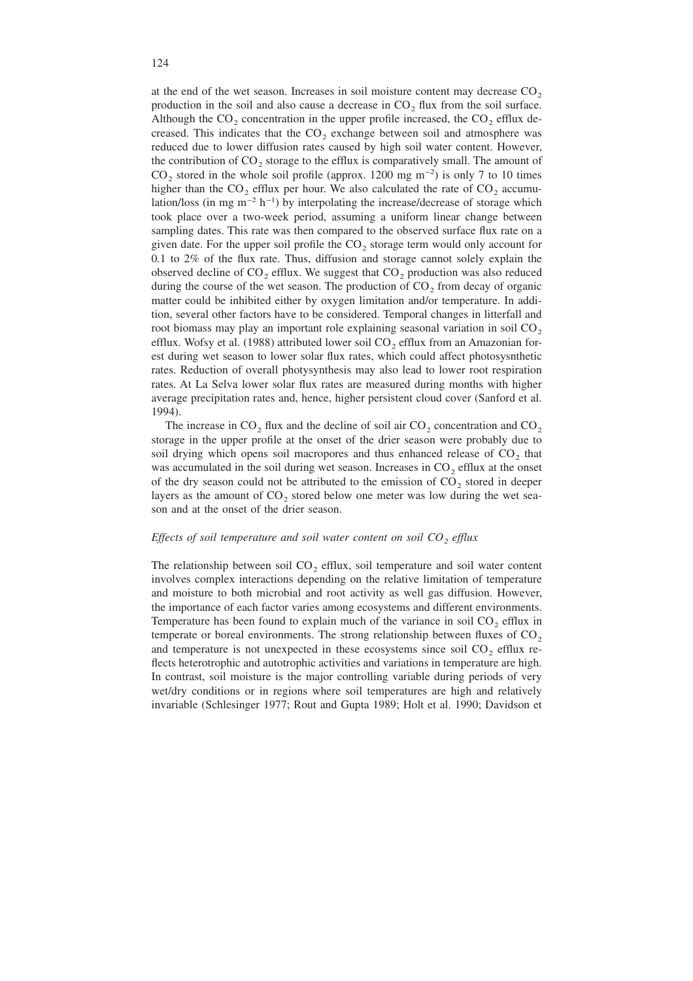at the end of the wet season. Increases in soil moisture content may decrease  $CO<sub>2</sub>$ production in the soil and also cause a decrease in  $CO<sub>2</sub>$  flux from the soil surface. Although the  $CO_2$  concentration in the upper profile increased, the  $CO_2$  efflux decreased. This indicates that the  $CO<sub>2</sub>$  exchange between soil and atmosphere was reduced due to lower diffusion rates caused by high soil water content. However, the contribution of  $CO<sub>2</sub>$  storage to the efflux is comparatively small. The amount of  $CO<sub>2</sub>$  stored in the whole soil profile (approx. 1200 mg m<sup>-2</sup>) is only 7 to 10 times higher than the  $CO<sub>2</sub>$  efflux per hour. We also calculated the rate of  $CO<sub>2</sub>$  accumulation/loss (in mg m<sup>-2</sup> h<sup>-1</sup>) by interpolating the increase/decrease of storage which took place over a two-week period, assuming a uniform linear change between sampling dates. This rate was then compared to the observed surface flux rate on a given date. For the upper soil profile the  $CO<sub>2</sub>$  storage term would only account for 0.1 to 2% of the flux rate. Thus, diffusion and storage cannot solely explain the observed decline of  $CO<sub>2</sub>$  efflux. We suggest that  $CO<sub>2</sub>$  production was also reduced during the course of the wet season. The production of  $CO<sub>2</sub>$  from decay of organic matter could be inhibited either by oxygen limitation and/or temperature. In addition, several other factors have to be considered. Temporal changes in litterfall and root biomass may play an important role explaining seasonal variation in soil  $CO<sub>2</sub>$ efflux. Wofsy et al. (1988) attributed lower soil  $CO<sub>2</sub>$  efflux from an Amazonian forest during wet season to lower solar flux rates, which could affect photosysnthetic rates. Reduction of overall photysynthesis may also lead to lower root respiration rates. At La Selva lower solar flux rates are measured during months with higher average precipitation rates and, hence, higher persistent cloud cover (Sanford et al. 1994).

The increase in  $CO_2$  flux and the decline of soil air  $CO_2$  concentration and  $CO_2$ storage in the upper profile at the onset of the drier season were probably due to soil drying which opens soil macropores and thus enhanced release of  $CO<sub>2</sub>$  that was accumulated in the soil during wet season. Increases in  $CO<sub>2</sub>$  efflux at the onset of the dry season could not be attributed to the emission of  $CO<sub>2</sub>$  stored in deeper layers as the amount of  $CO<sub>2</sub>$  stored below one meter was low during the wet season and at the onset of the drier season.

#### *Effects of soil temperature and soil water content on soil CO<sub>2</sub> efflux*

The relationship between soil  $CO<sub>2</sub>$  efflux, soil temperature and soil water content involves complex interactions depending on the relative limitation of temperature and moisture to both microbial and root activity as well gas diffusion. However, the importance of each factor varies among ecosystems and different environments. Temperature has been found to explain much of the variance in soil  $CO<sub>2</sub>$  efflux in temperate or boreal environments. The strong relationship between fluxes of  $CO<sub>2</sub>$ and temperature is not unexpected in these ecosystems since soil  $CO<sub>2</sub>$  efflux reflects heterotrophic and autotrophic activities and variations in temperature are high. In contrast, soil moisture is the major controlling variable during periods of very wet/dry conditions or in regions where soil temperatures are high and relatively invariable (Schlesinger 1977; Rout and Gupta 1989; Holt et al. 1990; Davidson et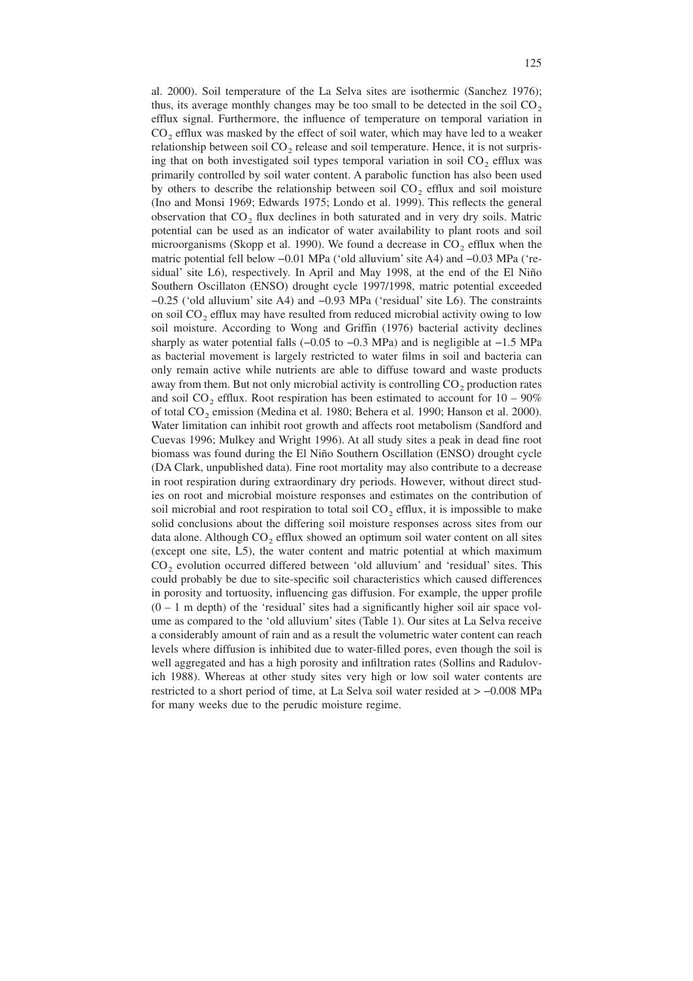al. 2000). Soil temperature of the La Selva sites are isothermic (Sanchez 1976); thus, its average monthly changes may be too small to be detected in the soil  $CO<sub>2</sub>$ efflux signal. Furthermore, the influence of temperature on temporal variation in  $CO<sub>2</sub>$  efflux was masked by the effect of soil water, which may have led to a weaker relationship between soil  $CO<sub>2</sub>$  release and soil temperature. Hence, it is not surprising that on both investigated soil types temporal variation in soil  $CO<sub>2</sub>$  efflux was primarily controlled by soil water content. A parabolic function has also been used by others to describe the relationship between soil  $CO<sub>2</sub>$  efflux and soil moisture (Ino and Monsi 1969; Edwards 1975; Londo et al. 1999). This reflects the general observation that  $CO<sub>2</sub>$  flux declines in both saturated and in very dry soils. Matric potential can be used as an indicator of water availability to plant roots and soil microorganisms (Skopp et al. 1990). We found a decrease in  $CO<sub>2</sub>$  efflux when the matric potential fell below −0.01 MPa ('old alluvium' site A4) and −0.03 MPa ('residual' site L6), respectively. In April and May 1998, at the end of the El Niño Southern Oscillaton (ENSO) drought cycle 1997/1998, matric potential exceeded −0.25 ('old alluvium' site A4) and −0.93 MPa ('residual' site L6). The constraints on soil  $CO<sub>2</sub>$  efflux may have resulted from reduced microbial activity owing to low soil moisture. According to Wong and Griffin (1976) bacterial activity declines sharply as water potential falls (−0.05 to −0.3 MPa) and is negligible at −1.5 MPa as bacterial movement is largely restricted to water films in soil and bacteria can only remain active while nutrients are able to diffuse toward and waste products away from them. But not only microbial activity is controlling  $CO<sub>2</sub>$  production rates and soil  $CO_2$  efflux. Root respiration has been estimated to account for  $10 - 90\%$ of total CO<sub>2</sub> emission (Medina et al. 1980; Behera et al. 1990; Hanson et al. 2000). Water limitation can inhibit root growth and affects root metabolism (Sandford and Cuevas 1996; Mulkey and Wright 1996). At all study sites a peak in dead fine root biomass was found during the El Niño Southern Oscillation (ENSO) drought cycle (DA Clark, unpublished data). Fine root mortality may also contribute to a decrease in root respiration during extraordinary dry periods. However, without direct studies on root and microbial moisture responses and estimates on the contribution of soil microbial and root respiration to total soil  $CO<sub>2</sub>$  efflux, it is impossible to make solid conclusions about the differing soil moisture responses across sites from our data alone. Although  $CO<sub>2</sub>$  efflux showed an optimum soil water content on all sites (except one site, L5), the water content and matric potential at which maximum CO<sub>2</sub> evolution occurred differed between 'old alluvium' and 'residual' sites. This could probably be due to site-specific soil characteristics which caused differences in porosity and tortuosity, influencing gas diffusion. For example, the upper profile  $(0 - 1$  m depth) of the 'residual' sites had a significantly higher soil air space volume as compared to the 'old alluvium' sites (Table 1). Our sites at La Selva receive a considerably amount of rain and as a result the volumetric water content can reach levels where diffusion is inhibited due to water-filled pores, even though the soil is well aggregated and has a high porosity and infiltration rates (Sollins and Radulovich 1988). Whereas at other study sites very high or low soil water contents are restricted to a short period of time, at La Selva soil water resided at > −0.008 MPa for many weeks due to the perudic moisture regime.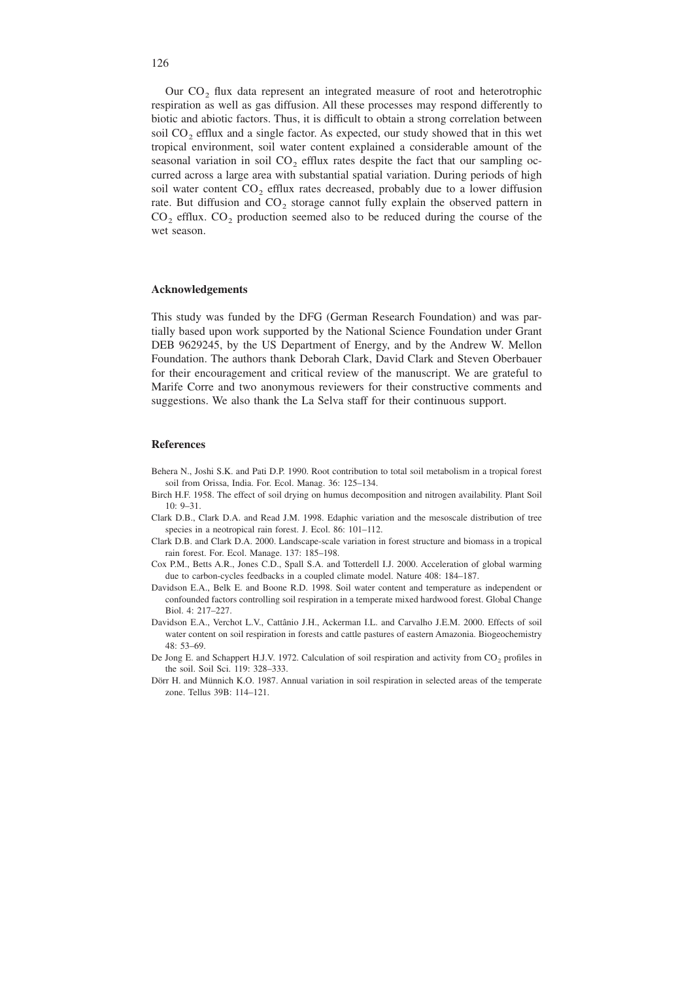Our CO<sub>2</sub> flux data represent an integrated measure of root and heterotrophic respiration as well as gas diffusion. All these processes may respond differently to biotic and abiotic factors. Thus, it is difficult to obtain a strong correlation between soil  $CO<sub>2</sub>$  efflux and a single factor. As expected, our study showed that in this wet tropical environment, soil water content explained a considerable amount of the seasonal variation in soil  $CO<sub>2</sub>$  efflux rates despite the fact that our sampling occurred across a large area with substantial spatial variation. During periods of high soil water content  $CO<sub>2</sub>$  efflux rates decreased, probably due to a lower diffusion rate. But diffusion and  $CO<sub>2</sub>$  storage cannot fully explain the observed pattern in  $CO<sub>2</sub>$  efflux.  $CO<sub>2</sub>$  production seemed also to be reduced during the course of the wet season.

#### **Acknowledgements**

This study was funded by the DFG (German Research Foundation) and was partially based upon work supported by the National Science Foundation under Grant DEB 9629245, by the US Department of Energy, and by the Andrew W. Mellon Foundation. The authors thank Deborah Clark, David Clark and Steven Oberbauer for their encouragement and critical review of the manuscript. We are grateful to Marife Corre and two anonymous reviewers for their constructive comments and suggestions. We also thank the La Selva staff for their continuous support.

#### **References**

- Behera N., Joshi S.K. and Pati D.P. 1990. Root contribution to total soil metabolism in a tropical forest soil from Orissa, India. For. Ecol. Manag. 36: 125–134.
- Birch H.F. 1958. The effect of soil drying on humus decomposition and nitrogen availability. Plant Soil 10: 9–31.
- Clark D.B., Clark D.A. and Read J.M. 1998. Edaphic variation and the mesoscale distribution of tree species in a neotropical rain forest. J. Ecol. 86: 101–112.
- Clark D.B. and Clark D.A. 2000. Landscape-scale variation in forest structure and biomass in a tropical rain forest. For. Ecol. Manage. 137: 185–198.
- Cox P.M., Betts A.R., Jones C.D., Spall S.A. and Totterdell I.J. 2000. Acceleration of global warming due to carbon-cycles feedbacks in a coupled climate model. Nature 408: 184–187.
- Davidson E.A., Belk E. and Boone R.D. 1998. Soil water content and temperature as independent or confounded factors controlling soil respiration in a temperate mixed hardwood forest. Global Change Biol. 4: 217–227.
- Davidson E.A., Verchot L.V., Cattânio J.H., Ackerman I.L. and Carvalho J.E.M. 2000. Effects of soil water content on soil respiration in forests and cattle pastures of eastern Amazonia. Biogeochemistry 48: 53–69.
- De Jong E. and Schappert H.J.V. 1972. Calculation of soil respiration and activity from CO<sub>2</sub> profiles in the soil. Soil Sci. 119: 328–333.
- Dörr H. and Münnich K.O. 1987. Annual variation in soil respiration in selected areas of the temperate zone. Tellus 39B: 114–121.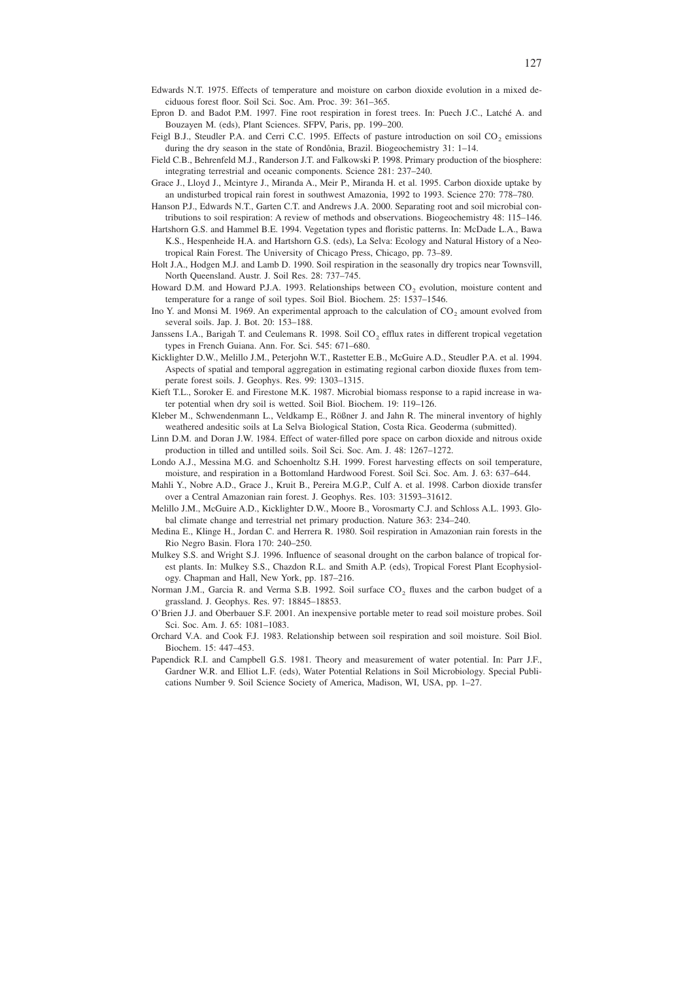- Epron D. and Badot P.M. 1997. Fine root respiration in forest trees. In: Puech J.C., Latché A. and Bouzayen M. (eds), Plant Sciences. SFPV, Paris, pp. 199–200.
- Feigl B.J., Steudler P.A. and Cerri C.C. 1995. Effects of pasture introduction on soil CO<sub>2</sub> emissions during the dry season in the state of Rondônia, Brazil. Biogeochemistry 31: 1–14.
- Field C.B., Behrenfeld M.J., Randerson J.T. and Falkowski P. 1998. Primary production of the biosphere: integrating terrestrial and oceanic components. Science 281: 237–240.
- Grace J., Lloyd J., Mcintyre J., Miranda A., Meir P., Miranda H. et al. 1995. Carbon dioxide uptake by an undisturbed tropical rain forest in southwest Amazonia, 1992 to 1993. Science 270: 778–780.
- Hanson P.J., Edwards N.T., Garten C.T. and Andrews J.A. 2000. Separating root and soil microbial contributions to soil respiration: A review of methods and observations. Biogeochemistry 48: 115–146.
- Hartshorn G.S. and Hammel B.E. 1994. Vegetation types and floristic patterns. In: McDade L.A., Bawa K.S., Hespenheide H.A. and Hartshorn G.S. (eds), La Selva: Ecology and Natural History of a Neotropical Rain Forest. The University of Chicago Press, Chicago, pp. 73–89.
- Holt J.A., Hodgen M.J. and Lamb D. 1990. Soil respiration in the seasonally dry tropics near Townsvill, North Queensland. Austr. J. Soil Res. 28: 737–745.
- Howard D.M. and Howard P.J.A. 1993. Relationships between  $CO<sub>2</sub>$  evolution, moisture content and temperature for a range of soil types. Soil Biol. Biochem. 25: 1537–1546.
- Ino Y. and Monsi M. 1969. An experimental approach to the calculation of CO<sub>2</sub> amount evolved from several soils. Jap. J. Bot. 20: 153–188.
- Janssens I.A., Barigah T. and Ceulemans R. 1998. Soil  $CO<sub>2</sub>$  efflux rates in different tropical vegetation types in French Guiana. Ann. For. Sci. 545: 671–680.
- Kicklighter D.W., Melillo J.M., Peterjohn W.T., Rastetter E.B., McGuire A.D., Steudler P.A. et al. 1994. Aspects of spatial and temporal aggregation in estimating regional carbon dioxide fluxes from temperate forest soils. J. Geophys. Res. 99: 1303–1315.
- Kieft T.L., Soroker E. and Firestone M.K. 1987. Microbial biomass response to a rapid increase in water potential when dry soil is wetted. Soil Biol. Biochem. 19: 119–126.
- Kleber M., Schwendenmann L., Veldkamp E., Rößner J. and Jahn R. The mineral inventory of highly weathered andesitic soils at La Selva Biological Station, Costa Rica. Geoderma (submitted).
- Linn D.M. and Doran J.W. 1984. Effect of water-filled pore space on carbon dioxide and nitrous oxide production in tilled and untilled soils. Soil Sci. Soc. Am. J. 48: 1267–1272.
- Londo A.J., Messina M.G. and Schoenholtz S.H. 1999. Forest harvesting effects on soil temperature, moisture, and respiration in a Bottomland Hardwood Forest. Soil Sci. Soc. Am. J. 63: 637–644.
- Mahli Y., Nobre A.D., Grace J., Kruit B., Pereira M.G.P., Culf A. et al. 1998. Carbon dioxide transfer over a Central Amazonian rain forest. J. Geophys. Res. 103: 31593–31612.
- Melillo J.M., McGuire A.D., Kicklighter D.W., Moore B., Vorosmarty C.J. and Schloss A.L. 1993. Global climate change and terrestrial net primary production. Nature 363: 234–240.
- Medina E., Klinge H., Jordan C. and Herrera R. 1980. Soil respiration in Amazonian rain forests in the Rio Negro Basin. Flora 170: 240–250.
- Mulkey S.S. and Wright S.J. 1996. Influence of seasonal drought on the carbon balance of tropical forest plants. In: Mulkey S.S., Chazdon R.L. and Smith A.P. (eds), Tropical Forest Plant Ecophysiology. Chapman and Hall, New York, pp. 187–216.
- Norman J.M., Garcia R. and Verma S.B. 1992. Soil surface  $CO_2$  fluxes and the carbon budget of a grassland. J. Geophys. Res. 97: 18845–18853.
- O'Brien J.J. and Oberbauer S.F. 2001. An inexpensive portable meter to read soil moisture probes. Soil Sci. Soc. Am. J. 65: 1081–1083.
- Orchard V.A. and Cook F.J. 1983. Relationship between soil respiration and soil moisture. Soil Biol. Biochem. 15: 447–453.
- Papendick R.I. and Campbell G.S. 1981. Theory and measurement of water potential. In: Parr J.F., Gardner W.R. and Elliot L.F. (eds), Water Potential Relations in Soil Microbiology. Special Publications Number 9. Soil Science Society of America, Madison, WI, USA, pp. 1–27.